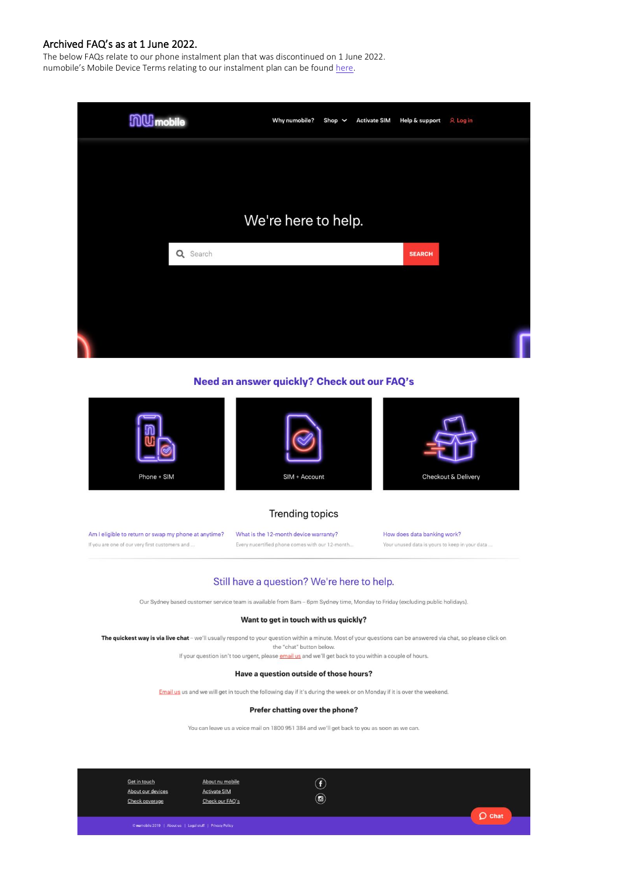The below FAQs relate to our phone instalment plan that was discontinued on 1 June 2022. numobile's Mobile Device Terms relating to our instalment plan can be found [here.](https://www.numobile.com.au/legal-stuff)



#### Need an answer quickly? Check out our FAQ's



#### **Trending topics**

Am I eligible to return or swap my phone at anytime? What is the 12-month device warranty? If you are one of our very first customers and ... Every nucertified phone comes with our 12-month

How does data banking work? Your unused data is yours to keep in your data ...

#### Still have a question? We're here to help.

Our Sydney based customer service team is available from 8am - 6pm Sydney time, Monday to Friday (excluding public holidays).

#### Want to get in touch with us quickly?

The quickest way is via live chat - we'll usually respond to your question within a minute. Most of your questions can be answered via chat, so please click on the "chat" button below

If your question isn't too urgent, please **email us** and we'll get back to you within a couple of hours.

#### Have a question outside of those hours?

Email us us and we will get in touch the following day if it's during the week or on Monday if it is over the weekend.

#### Prefer chatting over the phone?

You can leave us a voice mail on 1800 951 384 and we'll get back to you as soon as we can.

Get in touch About nu mobile About our devices **Activate SIM** Check our FAQ's Check coverage

 $\odot$  $\circledcirc$ 

 $O$  Chat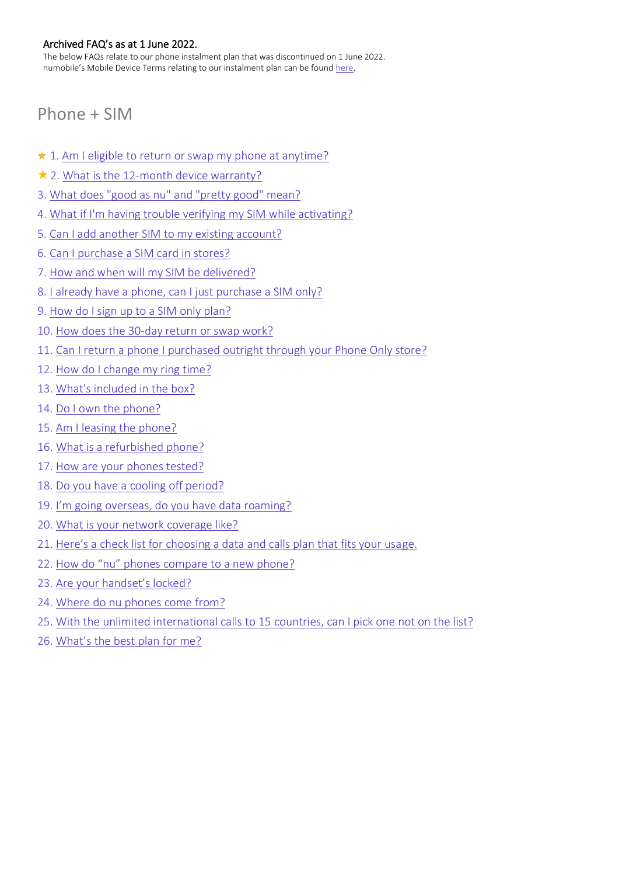The below FAQs relate to our phone instalment plan that was discontinued on 1 June 2022. numobile's Mobile Device Terms relating to our instalment plan can be found [here.](https://www.numobile.com.au/legal-stuff)

# <span id="page-1-0"></span>Phone + SIM

- $\star$  1. [Am I eligible to return or swap my phone at anytime?](#page-2-0)
- $\star$  2. [What is the 12-month device warranty?](#page-3-0)
- 3. What does "good as nu" [and "pretty good" mean?](#page-4-0)
- 4. [What if I'm having trouble verifying my SIM while activating?](#page-5-0)
- 5. [Can I add another SIM to my existing account?](#page-5-1)
- 6. [Can I purchase a SIM card in stores?](#page-5-2)
- 7. [How and when will my SIM be delivered?](#page-6-0)
- 8. [I already have a phone, can I just purchase a SIM only?](#page-6-1)
- 9. [How do I sign up to a SIM only plan?](#page-6-2)
- 10. [How does the 30-day return or swap work?](#page-6-3)
- 11. [Can I return a phone I purchased outright through your Phone Only store?](#page-6-4)
- 12. [How do I change my ring time?](#page-8-0)
- 13. [What's included in the box?](#page-8-1)
- 14. [Do I own the phone?](#page-8-2)
- 15. [Am I leasing the phone?](#page-8-3)
- 16. [What is a refurbished phone?](#page-8-4)
- 17. [How are your phones tested?](#page-9-0)
- 18. [Do you have a cooling off period?](#page-9-1)
- 19. [I'm going overseas, do you have data roaming?](#page-9-2)
- 20. [What is your network coverage like?](#page-9-3)
- 21. [Here's a check list for choosing a data and calls plan that fits your usa](#page-9-4)ge.
- 22. [How do "nu" phones compare to a new phone?](#page-10-0)
- 23. [Are your handset's locked?](#page-10-1)
- 24. [Where do nu phones come from?](#page-10-2)
- 25. [With the unlimited international calls to 15](#page-10-3) countries, can I pick one not on the list?
- 26. [What's the best plan for me?](#page-10-4)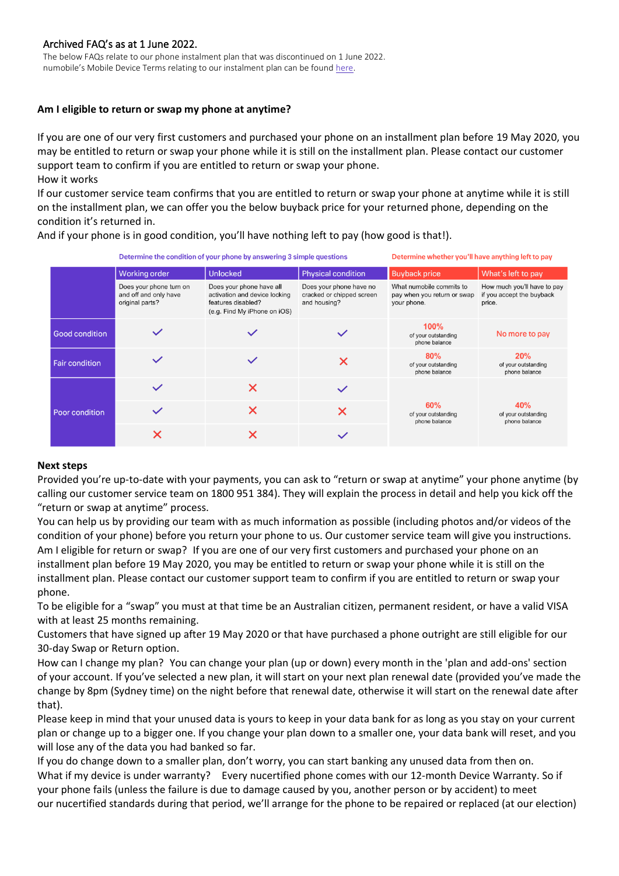The below FAQs relate to our phone instalment plan that was discontinued on 1 June 2022. numobile's Mobile Device Terms relating to our instalment plan can be found [here.](https://www.numobile.com.au/legal-stuff)

# <span id="page-2-0"></span>**Am I eligible to return or swap my phone at anytime?**

If you are one of our very first customers and purchased your phone on an installment plan before 19 May 2020, you may be entitled to return or swap your phone while it is still on the installment plan. Please contact our customer support team to confirm if you are entitled to return or swap your phone. How it works

If our customer service team confirms that you are entitled to return or swap your phone at anytime while it is still on the installment plan, we can offer you the below buyback price for your returned phone, depending on the condition it's returned in.

And if your phone is in good condition, you'll have nothing left to pay (how good is that!).

| Determine the condition of your phone by answering 3 simple questions |  |  |
|-----------------------------------------------------------------------|--|--|
|                                                                       |  |  |

Determine whether you'll have anything left to pay

|                       | <b>Working order</b>                                                | <b>Unlocked</b>                                                                                                 | <b>Physical condition</b>                                            | <b>Buyback price</b>                                                   | What's left to pay                                                 |
|-----------------------|---------------------------------------------------------------------|-----------------------------------------------------------------------------------------------------------------|----------------------------------------------------------------------|------------------------------------------------------------------------|--------------------------------------------------------------------|
|                       | Does your phone turn on<br>and off and only have<br>original parts? | Does your phone have all<br>activation and device locking<br>features disabled?<br>(e.g. Find My iPhone on iOS) | Does your phone have no<br>cracked or chipped screen<br>and housing? | What numobile commits to<br>pay when you return or swap<br>your phone. | How much you'll have to pay<br>if you accept the buyback<br>price. |
| <b>Good condition</b> |                                                                     |                                                                                                                 |                                                                      | 100%<br>of your outstanding<br>phone balance                           | No more to pay                                                     |
| <b>Fair condition</b> |                                                                     |                                                                                                                 | X                                                                    | 80%<br>of your outstanding<br>phone balance                            | 20%<br>of your outstanding<br>phone balance                        |
| Poor condition        |                                                                     | X                                                                                                               |                                                                      | 60%<br>of your outstanding<br>phone balance                            | 40%<br>of your outstanding<br>phone balance                        |
|                       |                                                                     |                                                                                                                 | X                                                                    |                                                                        |                                                                    |
|                       |                                                                     |                                                                                                                 |                                                                      |                                                                        |                                                                    |

#### **Next steps**

Provided you're up-to-date with your payments, you can ask to "return or swap at anytime" your phone anytime (by calling our customer service team on 1800 951 384). They will explain the process in detail and help you kick off the "return or swap at anytime" process.

You can help us by providing our team with as much information as possible (including photos and/or videos of the condition of your phone) before you return your phone to us. Our customer service team will give you instructions. Am I eligible for return or swap? If you are one of our very first customers and purchased your phone on an installment plan before 19 May 2020, you may be entitled to return or swap your phone while it is still on the installment plan. Please contact our customer support team to confirm if you are entitled to return or swap your phone.

To be eligible for a "swap" you must at that time be an Australian citizen, permanent resident, or have a valid VISA with at least 25 months remaining.

Customers that have signed up after 19 May 2020 or that have purchased a phone outright are still eligible for our [30-day Swap or Return](https://help.numobile.com.au/hc/en-us/articles/900000822363) option.

How can I change my plan? You can change your plan (up or down) every month in the 'plan and add-ons' section of [your account](https://www.numobile.com.au/login). If you've selected a new plan, it will start on your next plan renewal date (provided you've made the change by 8pm (Sydney time) on the night before that renewal date, otherwise it will start on the renewal date after that).

Please keep in mind that your unused data is yours to keep in your data bank for as long as you stay on your current plan or change up to a bigger one. If you change your plan down to a smaller one, your data bank will reset, and you will lose any of the data you had banked so far.

If you do change down to a smaller plan, don't worry, you can start banking any unused data from then on. What if my device is under warranty? Every nucertified phone comes with our [12-month Device Warranty.](https://help.numobile.com.au/hc/en-us/articles/360030445432) So if your phone fails (unless the failure is due to damage caused by you, another person or by accident) to meet our nucertified standards during that period, we'll arrange for the phone to be repaired or replaced (at our election)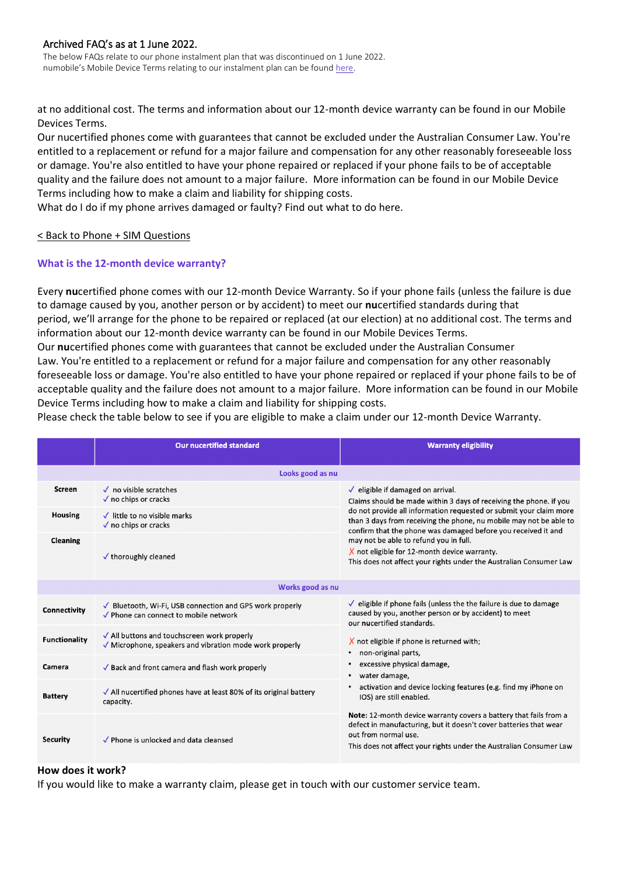The below FAQs relate to our phone instalment plan that was discontinued on 1 June 2022. numobile's Mobile Device Terms relating to our instalment plan can be found [here.](https://www.numobile.com.au/legal-stuff)

at no additional cost. The terms and information about our 12-month device warranty can be found in ou[r Mobile](https://www.numobile.com.au/sites/default/files/2020-05/numobile%20%E2%80%93%20Mobile%20Device%20Terms.pdf)  [Devices Terms.](https://www.numobile.com.au/sites/default/files/2020-05/numobile%20%E2%80%93%20Mobile%20Device%20Terms.pdf)

Our nucertified phones come with guarantees that cannot be excluded under the Australian Consumer Law. You're entitled to a replacement or refund for a major failure and compensation for any other reasonably foreseeable loss or damage. You're also entitled to have your phone repaired or replaced if your phone fails to be of acceptable quality and the failure does not amount to a major failure. More information can be found in our [Mobile Device](https://www.numobile.com.au/sites/default/files/2020-05/numobile%20%E2%80%93%20Mobile%20Device%20Terms.pdf)  [Terms](https://www.numobile.com.au/sites/default/files/2020-05/numobile%20%E2%80%93%20Mobile%20Device%20Terms.pdf) including how to make a claim and liability for shipping costs.

What do I do if my phone arrives damaged or faulty? [Find out what to do here.](https://help.numobile.com.au/hc/en-us/articles/360030565232)

## < Back to [Phone + SIM Questions](#page-1-0)

# <span id="page-3-0"></span>**What is the 12-month device warranty?**

Every **nu**certified phone comes with our 12-month Device Warranty. So if your phone fails (unless the failure is due to damage caused by you, another person or by accident) to meet our **nu**certified standards during that period, we'll arrange for the phone to be repaired or replaced (at our election) at no additional cost. The terms and information about our 12-month device warranty can be found in our [Mobile Devices Terms.](https://www.numobile.com.au/sites/default/files/2020-05/numobile%20%E2%80%93%20Mobile%20Device%20Terms.pdf)

Our **nu**certified phones come with guarantees that cannot be excluded under the Australian Consumer Law. You're entitled to a replacement or refund for a major failure and compensation for any other reasonably foreseeable loss or damage. You're also entitled to have your phone repaired or replaced if your phone fails to be of acceptable quality and the failure does not amount to a major failure. More information can be found in our [Mobile](https://www.numobile.com.au/sites/default/files/2020-05/numobile%20%E2%80%93%20Mobile%20Device%20Terms.pdf)  [Device Terms](https://www.numobile.com.au/sites/default/files/2020-05/numobile%20%E2%80%93%20Mobile%20Device%20Terms.pdf) including how to make a claim and liability for shipping costs.

Please check the table below to see if you are eligible to make a claim under our 12-month Device Warranty.

|                      | <b>Our nucertified standard</b>                                                                                           | <b>Warranty eligibility</b>                                                                                                                                                                                                                                                                                                     |  |  |  |  |
|----------------------|---------------------------------------------------------------------------------------------------------------------------|---------------------------------------------------------------------------------------------------------------------------------------------------------------------------------------------------------------------------------------------------------------------------------------------------------------------------------|--|--|--|--|
| Looks good as nu     |                                                                                                                           |                                                                                                                                                                                                                                                                                                                                 |  |  |  |  |
| <b>Screen</b>        | $\sqrt{\phantom{a}}$ no visible scratches<br>$\sqrt{}$ no chips or cracks                                                 | $\checkmark$ eligible if damaged on arrival.<br>Claims should be made within 3 days of receiving the phone. if you<br>do not provide all information requested or submit your claim more<br>than 3 days from receiving the phone, nu mobile may not be able to<br>confirm that the phone was damaged before you received it and |  |  |  |  |
| <b>Housing</b>       | $\checkmark$ little to no visible marks<br>$\sqrt{}$ no chips or cracks                                                   |                                                                                                                                                                                                                                                                                                                                 |  |  |  |  |
| <b>Cleaning</b>      | $\checkmark$ thoroughly cleaned                                                                                           | may not be able to refund you in full.<br>$X$ not eligible for 12-month device warranty.<br>This does not affect your rights under the Australian Consumer Law                                                                                                                                                                  |  |  |  |  |
| Works good as nu     |                                                                                                                           |                                                                                                                                                                                                                                                                                                                                 |  |  |  |  |
| Connectivity         | √ Bluetooth, Wi-Fi, USB connection and GPS work properly<br>✔ Phone can connect to mobile network                         | $\sqrt{\ }$ eligible if phone fails (unless the the failure is due to damage<br>caused by you, another person or by accident) to meet<br>our nucertified standards.                                                                                                                                                             |  |  |  |  |
| <b>Functionality</b> | √ All buttons and touchscreen work properly<br>$\sqrt{\phantom{a}}$ Microphone, speakers and vibration mode work properly | X not eligible if phone is returned with;<br>non-original parts,                                                                                                                                                                                                                                                                |  |  |  |  |
| Camera               | $\sqrt{\ }$ Back and front camera and flash work properly                                                                 | excessive physical damage,<br>water damage,                                                                                                                                                                                                                                                                                     |  |  |  |  |
| <b>Battery</b>       | $\sqrt{\phantom{a}}$ All nucertified phones have at least 80% of its original battery<br>capacity.                        | activation and device locking features (e.g. find my iPhone on<br>IOS) are still enabled.                                                                                                                                                                                                                                       |  |  |  |  |
| Security             | √ Phone is unlocked and data cleansed                                                                                     | Note: 12-month device warranty covers a battery that fails from a<br>defect in manufacturing, but it doesn't cover batteries that wear<br>out from normal use.<br>This does not affect your rights under the Australian Consumer Law                                                                                            |  |  |  |  |

## **How does it work?**

If you would like to make a warranty claim, please get in touch with our customer service team.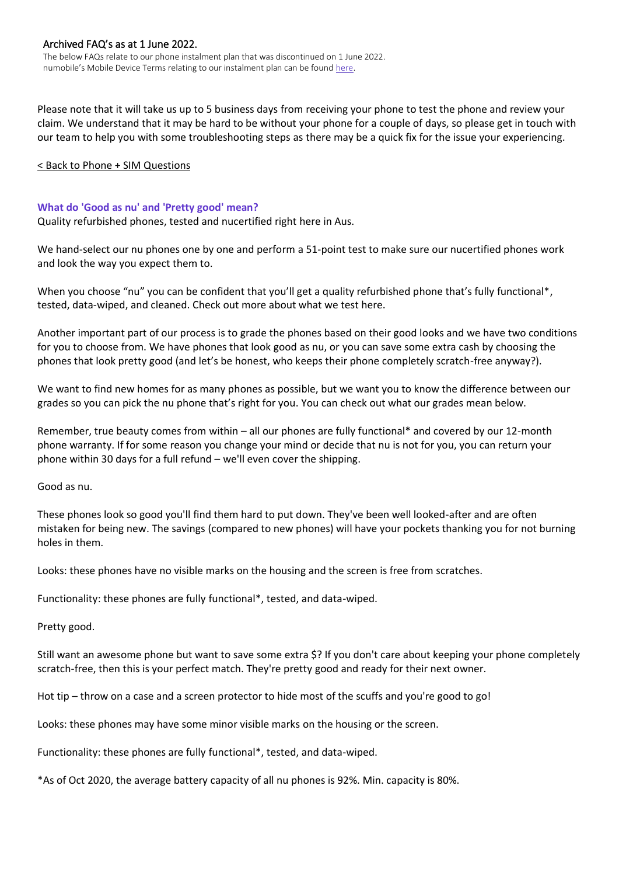The below FAQs relate to our phone instalment plan that was discontinued on 1 June 2022. numobile's Mobile Device Terms relating to our instalment plan can be found [here.](https://www.numobile.com.au/legal-stuff)

Please note that it will take us up to 5 business days from receiving your phone to test the phone and review your claim. We understand that it may be hard to be without your phone for a couple of days, so please get in touch with our team to help you with some troubleshooting steps as there may be a quick fix for the issue your experiencing.

#### [< Back to Phone + SIM Questions](#page-1-0)

#### <span id="page-4-0"></span>**What do 'Good as nu' and 'Pretty good' mean?**

Quality refurbished phones, tested and nucertified right here in Aus.

We hand-select our nu phones one by one and perform a 51-point test to make sure our nucertified phones work and look the way you expect them to.

When you choose "nu" you can be confident that you'll get a quality refurbished phone that's fully functional\*, tested, data-wiped, and cleaned. Check out more about what we test here.

Another important part of our process is to grade the phones based on their good looks and we have two conditions for you to choose from. We have phones that look good as nu, or you can save some extra cash by choosing the phones that look pretty good (and let's be honest, who keeps their phone completely scratch-free anyway?).

We want to find new homes for as many phones as possible, but we want you to know the difference between our grades so you can pick the nu phone that's right for you. You can check out what our grades mean below.

Remember, true beauty comes from within – all our phones are fully functional\* and covered by our 12-month phone warranty. If for some reason you change your mind or decide that nu is not for you, you can return your phone within 30 days for a full refund – we'll even cover the shipping.

Good as nu.

These phones look so good you'll find them hard to put down. They've been well looked-after and are often mistaken for being new. The savings (compared to new phones) will have your pockets thanking you for not burning holes in them.

Looks: these phones have no visible marks on the housing and the screen is free from scratches.

Functionality: these phones are fully functional\*, tested, and data-wiped.

Pretty good.

Still want an awesome phone but want to save some extra \$? If you don't care about keeping your phone completely scratch-free, then this is your perfect match. They're pretty good and ready for their next owner.

Hot tip – throw on a case and a screen protector to hide most of the scuffs and you're good to go!

Looks: these phones may have some minor visible marks on the housing or the screen.

Functionality: these phones are fully functional\*, tested, and data-wiped.

\*As of Oct 2020, the average battery capacity of all nu phones is 92%. Min. capacity is 80%.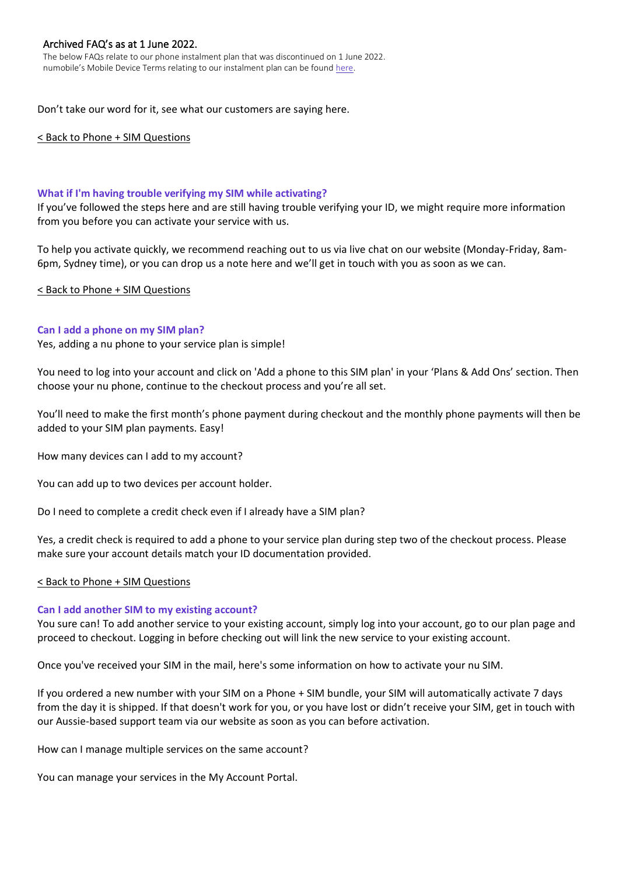The below FAQs relate to our phone instalment plan that was discontinued on 1 June 2022. numobile's Mobile Device Terms relating to our instalment plan can be found [here.](https://www.numobile.com.au/legal-stuff)

Don't take our word for it, see what our customers are saying here.

#### [< Back to Phone + SIM Questions](#page-1-0)

#### <span id="page-5-0"></span>**What if I'm having trouble verifying my SIM while activating?**

If you've followed the steps here and are still having trouble verifying your ID, we might require more information from you before you can activate your service with us.

To help you activate quickly, we recommend reaching out to us via live chat on our website (Monday-Friday, 8am-6pm, Sydney time), or you can drop us a note here and we'll get in touch with you as soon as we can.

[< Back to Phone + SIM Questions](#page-1-0)

#### <span id="page-5-1"></span>**Can I add a phone on my SIM plan?**

Yes, adding a nu phone to your service plan is simple!

You need to log into your account and click on 'Add a phone to this SIM plan' in your 'Plans & Add Ons' section. Then choose your nu phone, continue to the checkout process and you're all set.

You'll need to make the first month's phone payment during checkout and the monthly phone payments will then be added to your SIM plan payments. Easy!

How many devices can I add to my account?

You can add up to two devices per account holder.

Do I need to complete a credit check even if I already have a SIM plan?

Yes, a credit check is required to add a phone to your service plan during step two of the checkout process. Please make sure your account details match your ID documentation provided.

#### [< Back to Phone + SIM Questions](#page-1-0)

#### <span id="page-5-2"></span>**Can I add another SIM to my existing account?**

You sure can! To add another service to your existing account, simply log into your account, go to our plan page and proceed to checkout. Logging in before checking out will link the new service to your existing account.

Once you've received your SIM in the mail, here's some information on how to activate your nu SIM.

If you ordered a new number with your SIM on a Phone + SIM bundle, your SIM will automatically activate 7 days from the day it is shipped. If that doesn't work for you, or you have lost or didn't receive your SIM, get in touch with our Aussie-based support team via our website as soon as you can before activation.

How can I manage multiple services on the same account?

You can manage your services in the My Account Portal.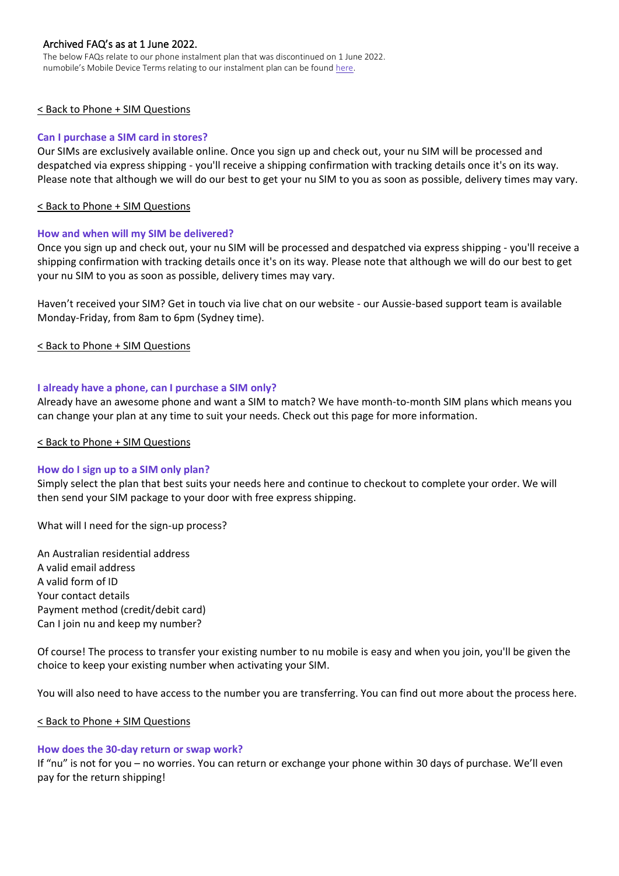The below FAQs relate to our phone instalment plan that was discontinued on 1 June 2022. numobile's Mobile Device Terms relating to our instalment plan can be found [here.](https://www.numobile.com.au/legal-stuff)

# [< Back to Phone + SIM Questions](#page-1-0)

# <span id="page-6-0"></span>**Can I purchase a SIM card in stores?**

Our SIMs are exclusively available online. Once you sign up and check out, your nu SIM will be processed and despatched via express shipping - you'll receive a shipping confirmation with tracking details once it's on its way. Please note that although we will do our best to get your nu SIM to you as soon as possible, delivery times may vary.

#### [< Back to Phone + SIM Questions](#page-1-0)

## <span id="page-6-1"></span>**How and when will my SIM be delivered?**

Once you sign up and check out, your nu SIM will be processed and despatched via express shipping - you'll receive a shipping confirmation with tracking details once it's on its way. Please note that although we will do our best to get your nu SIM to you as soon as possible, delivery times may vary.

Haven't received your SIM? Get in touch via live chat on our website - our Aussie-based support team is available Monday-Friday, from 8am to 6pm (Sydney time).

[< Back to Phone + SIM Questions](#page-1-0)

## <span id="page-6-2"></span>**I already have a phone, can I purchase a SIM only?**

Already have an awesome phone and want a SIM to match? We have month-to-month SIM plans which means you can change your plan at any time to suit your needs. Check out this page for more information.

#### [< Back to Phone + SIM Questions](#page-1-0)

#### <span id="page-6-3"></span>**How do I sign up to a SIM only plan?**

Simply select the plan that best suits your needs here and continue to checkout to complete your order. We will then send your SIM package to your door with free express shipping.

What will I need for the sign-up process?

An Australian residential address A valid email address A valid form of ID Your contact details Payment method (credit/debit card) Can I join nu and keep my number?

Of course! The process to transfer your existing number to nu mobile is easy and when you join, you'll be given the choice to keep your existing number when activating your SIM.

You will also need to have access to the number you are transferring. You can find out more about the process here.

#### [< Back to Phone + SIM Questions](#page-1-0)

#### <span id="page-6-4"></span>**How does the 30-day return or swap work?**

If "nu" is not for you – no worries. You can return or exchange your phone within 30 days of purchase. We'll even pay for the return shipping!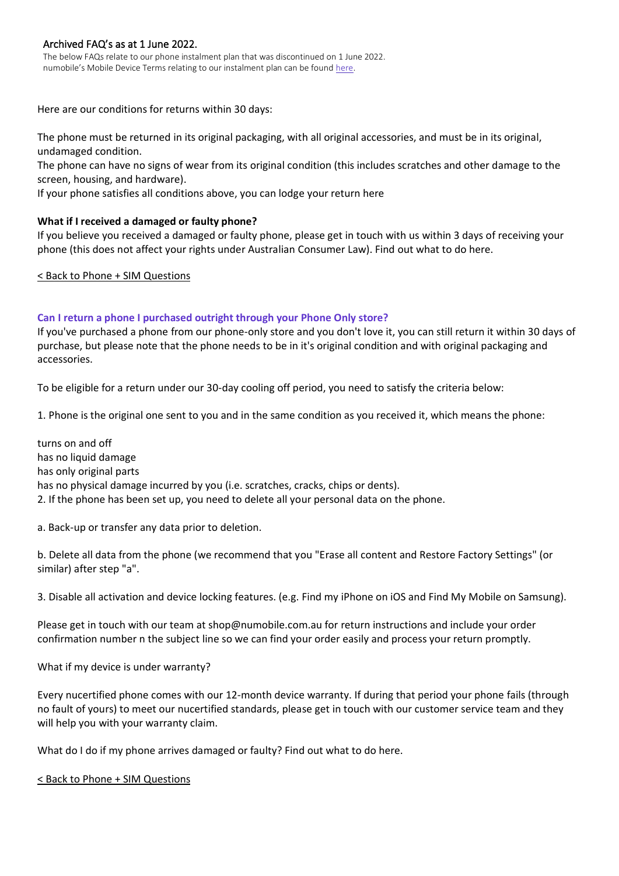The below FAQs relate to our phone instalment plan that was discontinued on 1 June 2022. numobile's Mobile Device Terms relating to our instalment plan can be found [here.](https://www.numobile.com.au/legal-stuff)

Here are our conditions for returns within 30 days:

The phone must be returned in its original packaging, with all original accessories, and must be in its original, undamaged condition.

The phone can have no signs of wear from its original condition (this includes scratches and other damage to the screen, housing, and hardware).

If your phone satisfies all conditions above, you can lodge your return here

# **What if I received a damaged or faulty phone?**

If you believe you received a damaged or faulty phone, please get in touch with us within 3 days of receiving your phone (this does not affect your rights under Australian Consumer Law). Find out what to do here.

## [< Back to Phone + SIM Questions](#page-1-0)

# **Can I return a phone I purchased outright through your Phone Only store?**

If you've purchased a phone from our phone-only store and you don't love it, you can still return it within 30 days of purchase, but please note that the phone needs to be in it's original condition and with original packaging and accessories.

To be eligible for a return under our 30-day cooling off period, you need to satisfy the criteria below:

1. Phone is the original one sent to you and in the same condition as you received it, which means the phone:

turns on and off has no liquid damage has only original parts has no physical damage incurred by you (i.e. scratches, cracks, chips or dents). 2. If the phone has been set up, you need to delete all your personal data on the phone.

a. Back-up or transfer any data prior to deletion.

b. Delete all data from the phone (we recommend that you "Erase all content and Restore Factory Settings" (or similar) after step "a".

3. Disable all activation and device locking features. (e.g. Find my iPhone on iOS and Find My Mobile on Samsung).

Please get in touch with our team at shop@numobile.com.au for return instructions and include your order confirmation number n the subject line so we can find your order easily and process your return promptly.

What if my device is under warranty?

Every nucertified phone comes with our 12-month device warranty. If during that period your phone fails (through no fault of yours) to meet our nucertified standards, please get in touch with our customer service team and they will help you with your warranty claim.

What do I do if my phone arrives damaged or faulty? Find out what to do here.

[< Back to Phone + SIM Questions](#page-1-0)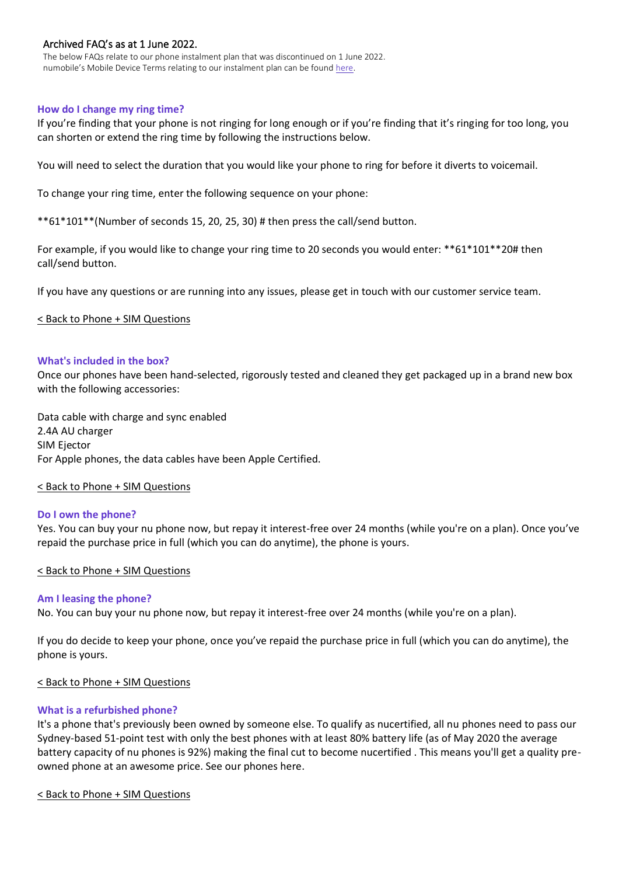The below FAQs relate to our phone instalment plan that was discontinued on 1 June 2022. numobile's Mobile Device Terms relating to our instalment plan can be found [here.](https://www.numobile.com.au/legal-stuff)

# <span id="page-8-0"></span>**How do I change my ring time?**

If you're finding that your phone is not ringing for long enough or if you're finding that it's ringing for too long, you can shorten or extend the ring time by following the instructions below.

You will need to select the duration that you would like your phone to ring for before it diverts to voicemail.

To change your ring time, enter the following sequence on your phone:

\*\*61\*101\*\*(Number of seconds 15, 20, 25, 30) # then press the call/send button.

For example, if you would like to change your ring time to 20 seconds you would enter: \*\*61\*101\*\*20# then call/send button.

If you have any questions or are running into any issues, please get in touch with our customer service team.

## [< Back to Phone + SIM Questions](#page-1-0)

## <span id="page-8-1"></span>**What's included in the box?**

Once our phones have been hand-selected, rigorously tested and cleaned they get packaged up in a brand new box with the following accessories:

Data cable with charge and sync enabled 2.4A AU charger SIM Ejector For Apple phones, the data cables have been Apple Certified.

#### [< Back to Phone + SIM Questions](#page-1-0)

#### <span id="page-8-2"></span>**Do I own the phone?**

Yes. You can buy your nu phone now, but repay it interest-free over 24 months (while you're on a plan). Once you've repaid the purchase price in full (which you can do anytime), the phone is yours.

# [< Back to Phone + SIM Questions](#page-1-0)

#### <span id="page-8-3"></span>**Am I leasing the phone?**

No. You can buy your nu phone now, but repay it interest-free over 24 months (while you're on a plan).

If you do decide to keep your phone, once you've repaid the purchase price in full (which you can do anytime), the phone is yours.

#### [< Back to Phone + SIM Questions](#page-1-0)

# <span id="page-8-4"></span>**What is a refurbished phone?**

It's a phone that's previously been owned by someone else. To qualify as nucertified, all nu phones need to pass our Sydney-based 51-point test with only the best phones with at least 80% battery life (as of May 2020 the average battery capacity of nu phones is 92%) making the final cut to become nucertified . This means you'll get a quality preowned phone at an awesome price. See our phones here.

#### [< Back to Phone + SIM Questions](#page-1-0)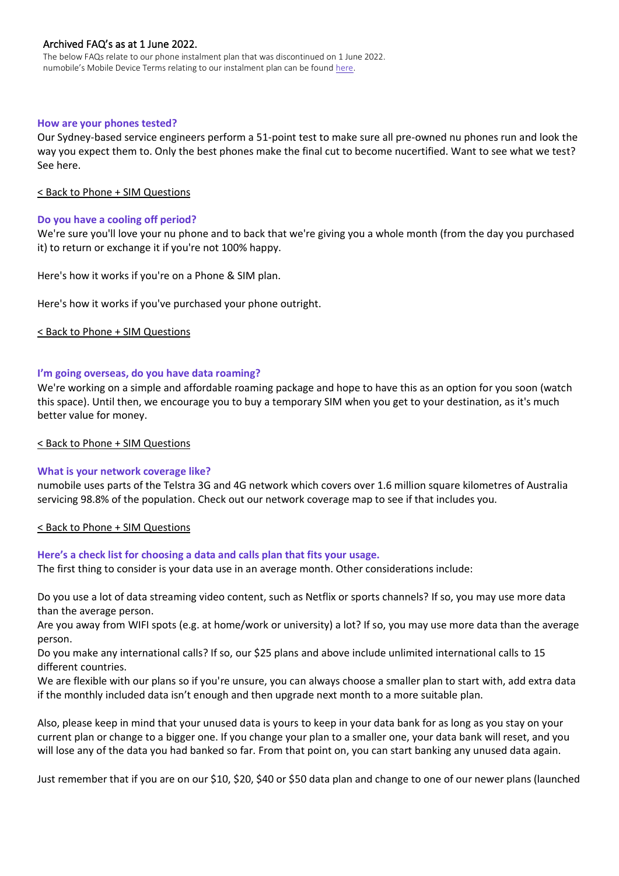The below FAQs relate to our phone instalment plan that was discontinued on 1 June 2022. numobile's Mobile Device Terms relating to our instalment plan can be found [here.](https://www.numobile.com.au/legal-stuff)

## <span id="page-9-0"></span>**How are your phones tested?**

Our Sydney-based service engineers perform a 51-point test to make sure all pre-owned nu phones run and look the way you expect them to. Only the best phones make the final cut to become nucertified. Want to see what we test? See here.

## [< Back to Phone + SIM Questions](#page-1-0)

## <span id="page-9-1"></span>**Do you have a cooling off period?**

We're sure you'll love your nu phone and to back that we're giving you a whole month (from the day you purchased it) to return or exchange it if you're not 100% happy.

Here's how it works if you're on a Phone & SIM plan.

Here's how it works if you've purchased your phone outright.

## [< Back to Phone + SIM Questions](#page-1-0)

## <span id="page-9-2"></span>**I'm going overseas, do you have data roaming?**

We're working on a simple and affordable roaming package and hope to have this as an option for you soon (watch this space). Until then, we encourage you to buy a temporary SIM when you get to your destination, as it's much better value for money.

#### [< Back to Phone + SIM Questions](#page-1-0)

# <span id="page-9-3"></span>**What is your network coverage like?**

numobile uses parts of the Telstra 3G and 4G network which covers over 1.6 million square kilometres of Australia servicing 98.8% of the population. Check out our network coverage map to see if that includes you.

## [< Back to Phone + SIM Questions](#page-1-0)

#### <span id="page-9-4"></span>**Here's a check list for choosing a data and calls plan that fits your usage.**

The first thing to consider is your data use in an average month. Other considerations include:

Do you use a lot of data streaming video content, such as Netflix or sports channels? If so, you may use more data than the average person.

Are you away from WIFI spots (e.g. at home/work or university) a lot? If so, you may use more data than the average person.

Do you make any international calls? If so, our \$25 plans and above include unlimited international calls to 15 different countries.

We are flexible with our plans so if you're unsure, you can always choose a smaller plan to start with, add extra data if the monthly included data isn't enough and then upgrade next month to a more suitable plan.

Also, please keep in mind that your unused data is yours to keep in your data bank for as long as you stay on your current plan or change to a bigger one. If you change your plan to a smaller one, your data bank will reset, and you will lose any of the data you had banked so far. From that point on, you can start banking any unused data again.

Just remember that if you are on our \$10, \$20, \$40 or \$50 data plan and change to one of our newer plans (launched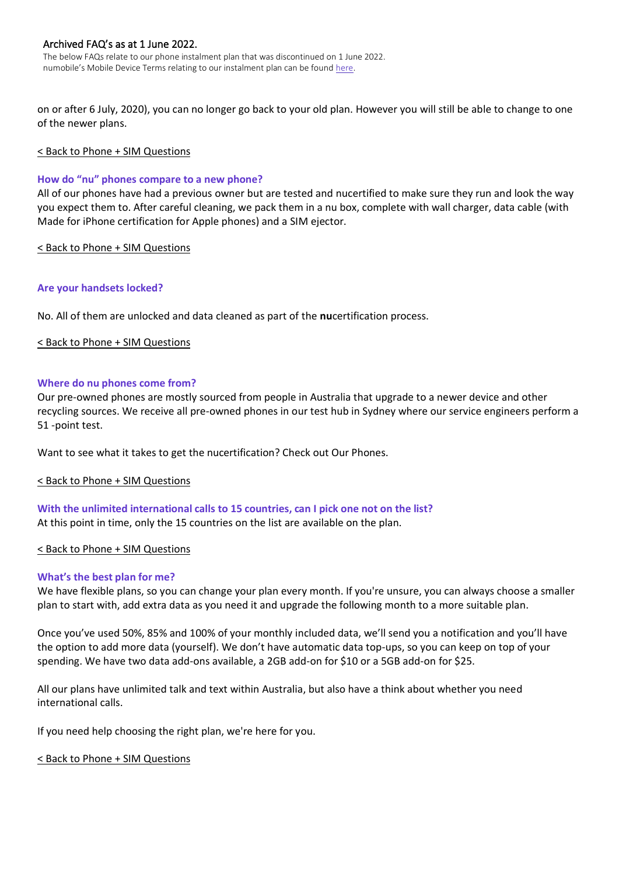The below FAQs relate to our phone instalment plan that was discontinued on 1 June 2022. numobile's Mobile Device Terms relating to our instalment plan can be found [here.](https://www.numobile.com.au/legal-stuff)

on or after 6 July, 2020), you can no longer go back to your old plan. However you will still be able to change to one of the newer plans.

## [< Back to Phone + SIM Questions](#page-1-0)

## <span id="page-10-0"></span>**How do "nu" phones compare to a new phone?**

All of our phones have had a previous owner but are tested and nucertified to make sure they run and look the way you expect them to. After careful cleaning, we pack them in a nu box, complete with wall charger, data cable (with Made for iPhone certification for Apple phones) and a SIM ejector.

## [< Back to Phone + SIM Questions](#page-1-0)

## <span id="page-10-1"></span>**Are your handsets locked?**

No. All of them are unlocked and data cleaned as part of the **nu**certification process.

## [< Back to Phone + SIM Questions](#page-1-0)

## <span id="page-10-2"></span>**Where do nu phones come from?**

Our pre-owned phones are mostly sourced from people in Australia that upgrade to a newer device and other recycling sources. We receive all pre-owned phones in our test hub in Sydney where our service engineers perform a 51 -point test.

Want to see what it takes to get the nucertification? Check out Our Phones.

#### [< Back to Phone + SIM Questions](#page-1-0)

<span id="page-10-3"></span>**With the unlimited international calls to 15 countries, can I pick one not on the list?** At this point in time, only the 15 countries on the list are available on the plan.

#### [< Back to Phone + SIM Questions](#page-1-0)

# <span id="page-10-4"></span>**What's the best plan for me?**

We have flexible plans, so you can change your plan every month. If you're unsure, you can always choose a smaller plan to start with, add extra data as you need it and upgrade the following month to a more suitable plan.

Once you've used 50%, 85% and 100% of your monthly included data, we'll send you a notification and you'll have the option to add more data (yourself). We don't have automatic data top-ups, so you can keep on top of your spending. We have two data add-ons available, a 2GB add-on for \$10 or a 5GB add-on for \$25.

All our plans have unlimited talk and text within Australia, but also have a think about whether you need international calls.

If you need help choosing the right plan, we're here for you.

#### [< Back to Phone + SIM Questions](#page-1-0)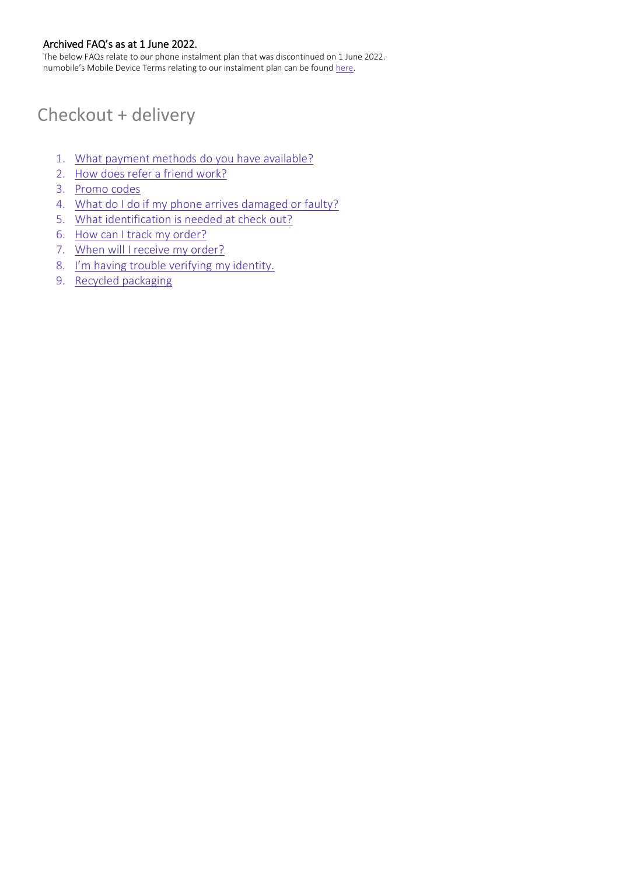The below FAQs relate to our phone instalment plan that was discontinued on 1 June 2022. numobile's Mobile Device Terms relating to our instalment plan can be found [here.](https://www.numobile.com.au/legal-stuff)

# <span id="page-11-0"></span>Checkout + delivery

- 1. [What payment methods do you have available?](#page-12-0)
- 2. [How does refer a friend work?](#page-12-1)
- 3. [Promo codes](#page-12-2)
- 4. [What do I do if my phone arrives damaged or faulty?](#page-12-3)
- 5. [What identification is needed at check out?](#page-13-0)
- 6. [How can I track my order?](#page-13-1)
- 7. [When will I receive my order?](#page-13-2)
- 8. [I'm having trouble verifying my identity.](#page-13-3)
- 9. [Recycled packaging](#page-14-0)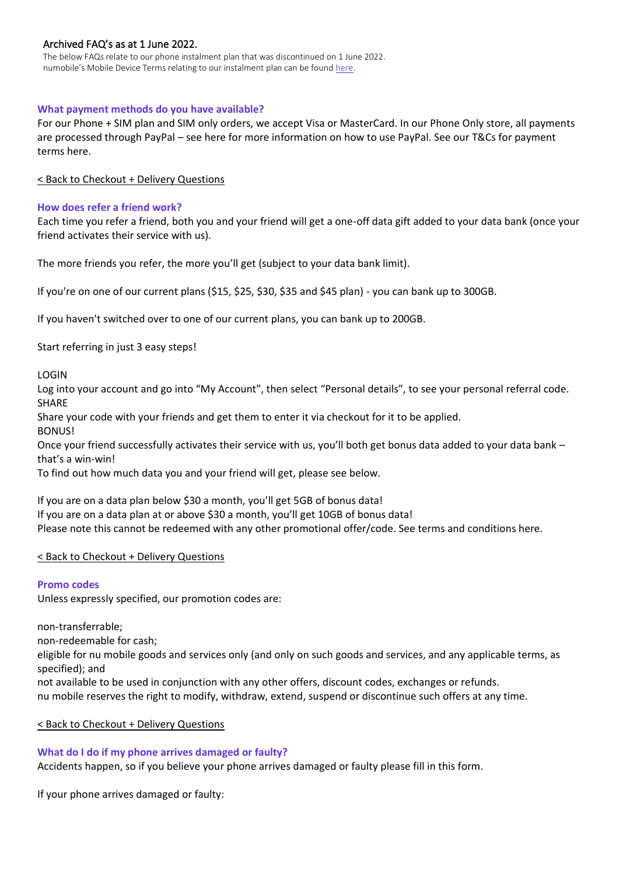The below FAQs relate to our phone instalment plan that was discontinued on 1 June 2022. numobile's Mobile Device Terms relating to our instalment plan can be found [here.](https://www.numobile.com.au/legal-stuff)

# <span id="page-12-0"></span>**What payment methods do you have available?**

For our Phone + SIM plan and SIM only orders, we accept Visa or MasterCard. In our Phone Only store, all payments are processed through PayPal – see here for more information on how to use PayPal. See our T&Cs for payment terms here.

[< Back to Checkout + Delivery Questions](#page-11-0)

## <span id="page-12-1"></span>**How does refer a friend work?**

Each time you refer a friend, both you and your friend will get a one-off data gift added to your data bank (once your friend activates their service with us).

The more friends you refer, the more you'll get (subject to your data bank limit).

If you're on one of our current plans (\$15, \$25, \$30, \$35 and \$45 plan) - you can bank up to 300GB.

If you haven't switched over to one of our current plans, you can bank up to 200GB.

Start referring in just 3 easy steps!

LOGIN

Log into your account and go into "My Account", then select "Personal details", to see your personal referral code. SHARE

Share your code with your friends and get them to enter it via checkout for it to be applied.

BONUS!

Once your friend successfully activates their service with us, you'll both get bonus data added to your data bank – that's a win-win!

To find out how much data you and your friend will get, please see below.

If you are on a data plan below \$30 a month, you'll get 5GB of bonus data! If you are on a data plan at or above \$30 a month, you'll get 10GB of bonus data! Please note this cannot be redeemed with any other promotional offer/code. See terms and conditions here.

# [< Back to Checkout + Delivery Questions](#page-11-0)

# <span id="page-12-2"></span>**Promo codes**

Unless expressly specified, our promotion codes are:

non-transferrable; non-redeemable for cash; eligible for nu mobile goods and services only (and only on such goods and services, and any applicable terms, as specified); and

not available to be used in conjunction with any other offers, discount codes, exchanges or refunds. nu mobile reserves the right to modify, withdraw, extend, suspend or discontinue such offers at any time.

#### [< Back to Checkout + Delivery Questions](#page-11-0)

<span id="page-12-3"></span>**What do I do if my phone arrives damaged or faulty?**

Accidents happen, so if you believe your phone arrives damaged or faulty please fill in this form.

If your phone arrives damaged or faulty: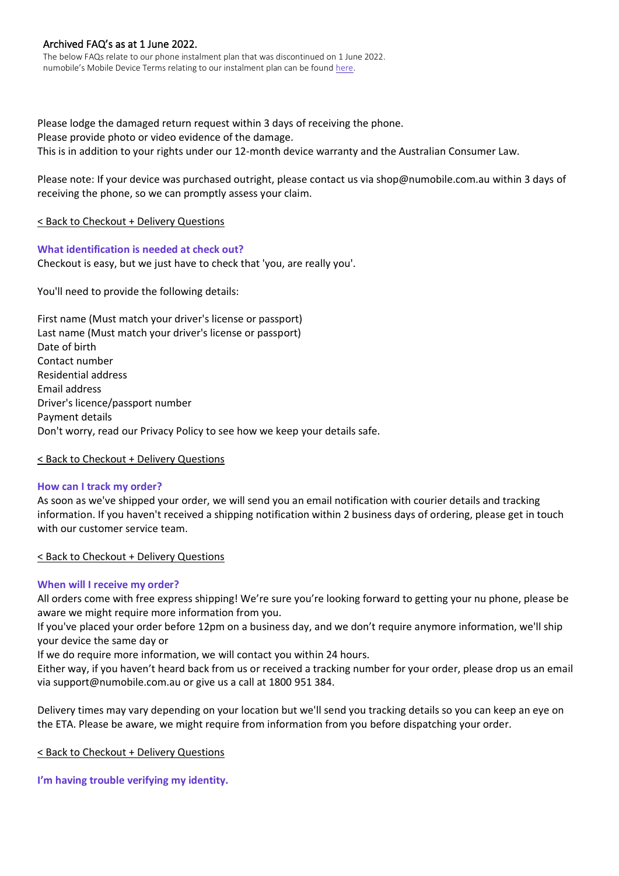The below FAQs relate to our phone instalment plan that was discontinued on 1 June 2022. numobile's Mobile Device Terms relating to our instalment plan can be found [here.](https://www.numobile.com.au/legal-stuff)

Please lodge the damaged return request within 3 days of receiving the phone. Please provide photo or video evidence of the damage. This is in addition to your rights under our 12-month device warranty and the Australian Consumer Law.

Please note: If your device was purchased outright, please contact us via shop@numobile.com.au within 3 days of receiving the phone, so we can promptly assess your claim.

# [< Back to Checkout + Delivery Questions](#page-11-0)

## <span id="page-13-0"></span>**What identification is needed at check out?** Checkout is easy, but we just have to check that 'you, are really you'.

You'll need to provide the following details:

First name (Must match your driver's license or passport) Last name (Must match your driver's license or passport) Date of birth Contact number Residential address Email address Driver's licence/passport number Payment details Don't worry, read our Privacy Policy to see how we keep your details safe.

# [< Back to Checkout + Delivery Questions](#page-11-0)

# <span id="page-13-1"></span>**How can I track my order?**

As soon as we've shipped your order, we will send you an email notification with courier details and tracking information. If you haven't received a shipping notification within 2 business days of ordering, please get in touch with our customer service team.

# [< Back to Checkout + Delivery Questions](#page-11-0)

# <span id="page-13-2"></span>**When will I receive my order?**

All orders come with free express shipping! We're sure you're looking forward to getting your nu phone, please be aware we might require more information from you.

If you've placed your order before 12pm on a business day, and we don't require anymore information, we'll ship your device the same day or

If we do require more information, we will contact you within 24 hours.

Either way, if you haven't heard back from us or received a tracking number for your order, please drop us an email via support@numobile.com.au or give us a call at 1800 951 384.

Delivery times may vary depending on your location but we'll send you tracking details so you can keep an eye on the ETA. Please be aware, we might require from information from you before dispatching your order.

# [< Back to Checkout + Delivery Questions](#page-11-0)

<span id="page-13-3"></span>**I'm having trouble verifying my identity.**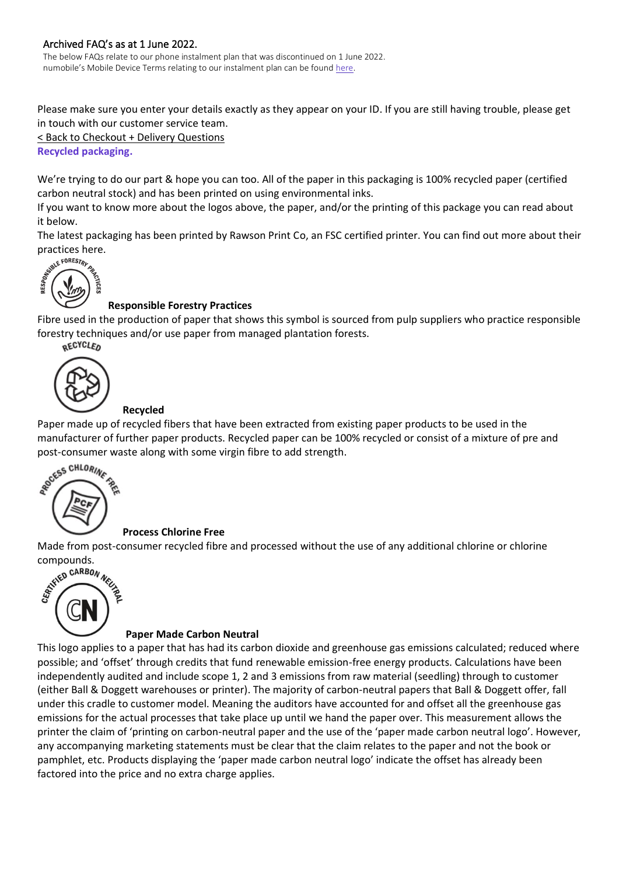The below FAQs relate to our phone instalment plan that was discontinued on 1 June 2022. numobile's Mobile Device Terms relating to our instalment plan can be found [here.](https://www.numobile.com.au/legal-stuff)

Please make sure you enter your details exactly as they appear on your ID. If you are still having trouble, please get in touch with our customer service team.

[< Back to Checkout + Delivery Questions](#page-11-0)

<span id="page-14-0"></span>**Recycled packaging.**

We're trying to do our part & hope you can too. All of the paper in this packaging is 100% recycled paper (certified carbon neutral stock) and has been printed on using environmental inks.

If you want to know more about the logos above, the paper, and/or the printing of this package you can read about it below.

The latest packaging has been printed by Rawson Print Co, an FSC certified printer. You can find out more about their



# **Responsible Forestry Practices**

Fibre used in the production of paper that shows this symbol is sourced from pulp suppliers who practice responsible forestry techniques and/or use paper from managed plantation forests.



# **Recycled**

Paper made up of recycled fibers that have been extracted from existing paper products to be used in the manufacturer of further paper products. Recycled paper can be 100% recycled or consist of a mixture of pre and post-consumer waste along with some virgin fibre to add strength.<br>
Secret CHLORING TO THE REAL PROPERTY.



# **Process Chlorine Free**

Made from post-consumer recycled fibre and processed without the use of any additional chlorine or chlorine



# **Paper Made Carbon Neutral**

This logo applies to a paper that has had its carbon dioxide and greenhouse gas emissions calculated; reduced where possible; and 'offset' through credits that fund renewable emission-free energy products. Calculations have been independently audited and include scope 1, 2 and 3 emissions from raw material (seedling) through to customer (either Ball & Doggett warehouses or printer). The majority of carbon-neutral papers that Ball & Doggett offer, fall under this cradle to customer model. Meaning the auditors have accounted for and offset all the greenhouse gas emissions for the actual processes that take place up until we hand the paper over. This measurement allows the printer the claim of 'printing on carbon-neutral paper and the use of the 'paper made carbon neutral logo'. However, any accompanying marketing statements must be clear that the claim relates to the paper and not the book or pamphlet, etc. Products displaying the 'paper made carbon neutral logo' indicate the offset has already been factored into the price and no extra charge applies.